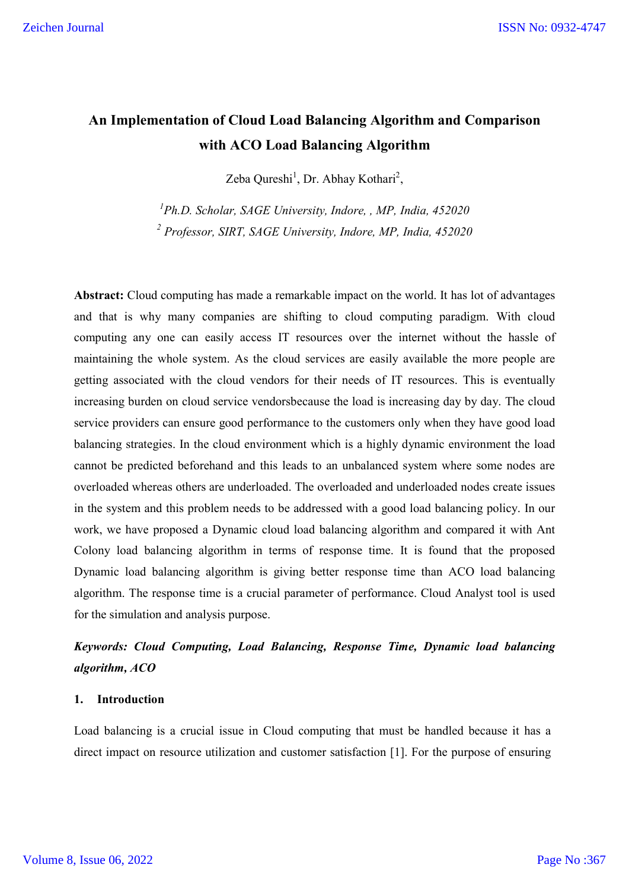# **An Implementation of Cloud Load Balancing Algorithm and Comparison with ACO Load Balancing Algorithm**

Zeba Qureshi<sup>1</sup>, Dr. Abhay Kothari<sup>2</sup>,

*1 Ph.D. Scholar, SAGE University, Indore, , MP, India, 452020 <sup>2</sup> Professor, SIRT, SAGE University, Indore, MP, India, 452020*

**Abstract:** Cloud computing has made a remarkable impact on the world. It has lot of advantages and that is why many companies are shifting to cloud computing paradigm. With cloud computing any one can easily access IT resources over the internet without the hassle of maintaining the whole system. As the cloud services are easily available the more people are getting associated with the cloud vendors for their needs of IT resources. This is eventually increasing burden on cloud service vendorsbecause the load is increasing day by day. The cloud service providers can ensure good performance to the customers only when they have good load balancing strategies. In the cloud environment which is a highly dynamic environment the load cannot be predicted beforehand and this leads to an unbalanced system where some nodes are overloaded whereas others are underloaded. The overloaded and underloaded nodes create issues in the system and this problem needs to be addressed with a good load balancing policy. In our work, we have proposed a Dynamic cloud load balancing algorithm and compared it with Ant Colony load balancing algorithm in terms of response time. It is found that the proposed Dynamic load balancing algorithm is giving better response time than ACO load balancing algorithm. The response time is a crucial parameter of performance. Cloud Analyst tool is used for the simulation and analysis purpose.

# *Keywords: Cloud Computing, Load Balancing, Response Time, Dynamic load balancing algorithm, ACO*

## **1. Introduction**

Load balancing is a crucial issue in Cloud computing that must be handled because it has a direct impact on resource utilization and customer satisfaction [1]. For the purpose of ensuring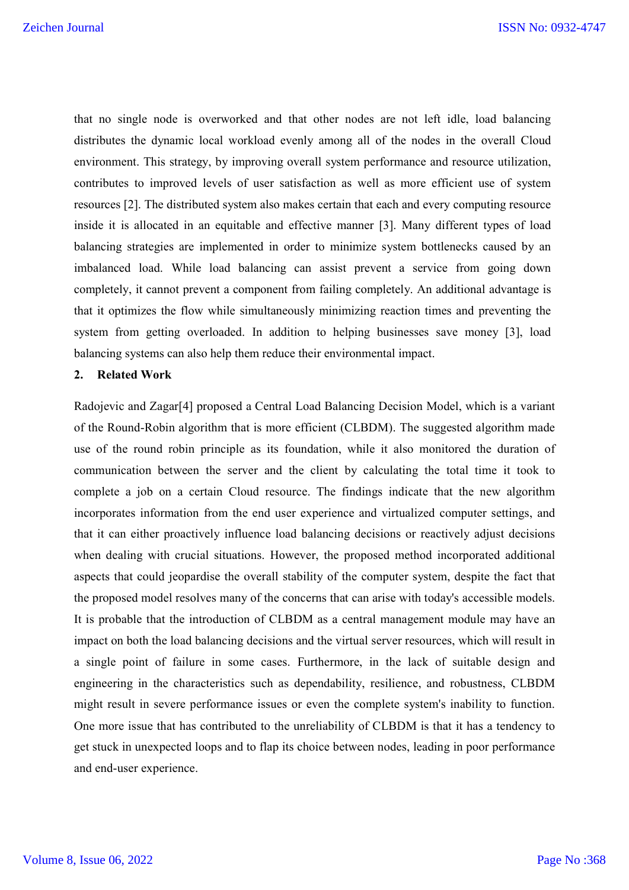that no single node is overworked and that other nodes are not left idle, load balancing distributes the dynamic local workload evenly among all of the nodes in the overall Cloud environment. This strategy, by improving overall system performance and resource utilization, contributes to improved levels of user satisfaction as well as more efficient use of system resources [2]. The distributed system also makes certain that each and every computing resource inside it is allocated in an equitable and effective manner [3]. Many different types of load balancing strategies are implemented in order to minimize system bottlenecks caused by an imbalanced load. While load balancing can assist prevent a service from going down completely, it cannot prevent a component from failing completely. An additional advantage is that it optimizes the flow while simultaneously minimizing reaction times and preventing the system from getting overloaded. In addition to helping businesses save money [3], load balancing systems can also help them reduce their environmental impact.

#### **2. Related Work**

Radojevic and Zagar[4] proposed a Central Load Balancing Decision Model, which is a variant of the Round-Robin algorithm that is more efficient (CLBDM). The suggested algorithm made use of the round robin principle as its foundation, while it also monitored the duration of communication between the server and the client by calculating the total time it took to complete a job on a certain Cloud resource. The findings indicate that the new algorithm incorporates information from the end user experience and virtualized computer settings, and that it can either proactively influence load balancing decisions or reactively adjust decisions when dealing with crucial situations. However, the proposed method incorporated additional aspects that could jeopardise the overall stability of the computer system, despite the fact that the proposed model resolves many of the concerns that can arise with today's accessible models. It is probable that the introduction of CLBDM as a central management module may have an impact on both the load balancing decisions and the virtual server resources, which will result in a single point of failure in some cases. Furthermore, in the lack of suitable design and engineering in the characteristics such as dependability, resilience, and robustness, CLBDM might result in severe performance issues or even the complete system's inability to function. One more issue that has contributed to the unreliability of CLBDM is that it has a tendency to get stuck in unexpected loops and to flap its choice between nodes, leading in poor performance and end-user experience.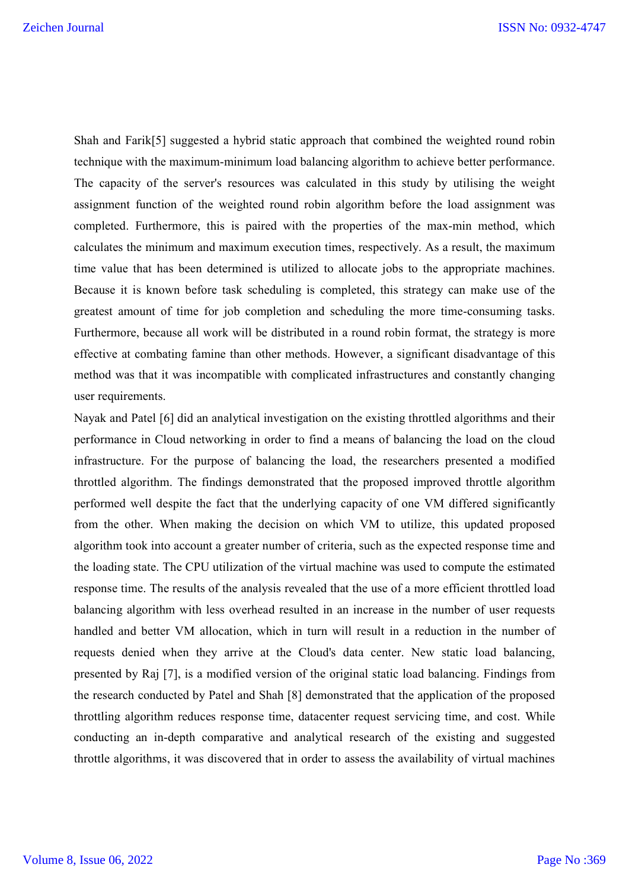Shah and Farik[5] suggested a hybrid static approach that combined the weighted round robin technique with the maximum-minimum load balancing algorithm to achieve better performance. The capacity of the server's resources was calculated in this study by utilising the weight assignment function of the weighted round robin algorithm before the load assignment was completed. Furthermore, this is paired with the properties of the max-min method, which calculates the minimum and maximum execution times, respectively. As a result, the maximum time value that has been determined is utilized to allocate jobs to the appropriate machines. Because it is known before task scheduling is completed, this strategy can make use of the greatest amount of time for job completion and scheduling the more time-consuming tasks. Furthermore, because all work will be distributed in a round robin format, the strategy is more effective at combating famine than other methods. However, a significant disadvantage of this method was that it was incompatible with complicated infrastructures and constantly changing user requirements.

Nayak and Patel [6] did an analytical investigation on the existing throttled algorithms and their performance in Cloud networking in order to find a means of balancing the load on the cloud infrastructure. For the purpose of balancing the load, the researchers presented a modified throttled algorithm. The findings demonstrated that the proposed improved throttle algorithm performed well despite the fact that the underlying capacity of one VM differed significantly from the other. When making the decision on which VM to utilize, this updated proposed algorithm took into account a greater number of criteria, such as the expected response time and the loading state. The CPU utilization of the virtual machine was used to compute the estimated response time. The results of the analysis revealed that the use of a more efficient throttled load balancing algorithm with less overhead resulted in an increase in the number of user requests handled and better VM allocation, which in turn will result in a reduction in the number of requests denied when they arrive at the Cloud's data center. New static load balancing, presented by Raj [7], is a modified version of the original static load balancing. Findings from the research conducted by Patel and Shah [8] demonstrated that the application of the proposed throttling algorithm reduces response time, datacenter request servicing time, and cost. While conducting an in-depth comparative and analytical research of the existing and suggested throttle algorithms, it was discovered that in order to assess the availability of virtual machines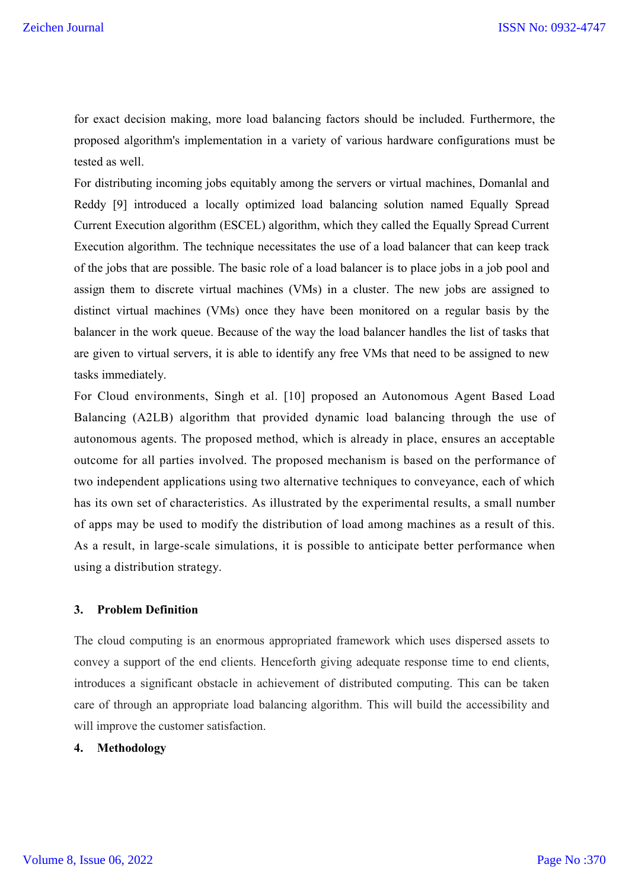for exact decision making, more load balancing factors should be included. Furthermore, the proposed algorithm's implementation in a variety of various hardware configurations must be tested as well.

For distributing incoming jobs equitably among the servers or virtual machines, Domanlal and Reddy [9] introduced a locally optimized load balancing solution named Equally Spread Current Execution algorithm (ESCEL) algorithm, which they called the Equally Spread Current Execution algorithm. The technique necessitates the use of a load balancer that can keep track of the jobs that are possible. The basic role of a load balancer is to place jobs in a job pool and assign them to discrete virtual machines (VMs) in a cluster. The new jobs are assigned to distinct virtual machines (VMs) once they have been monitored on a regular basis by the balancer in the work queue. Because of the way the load balancer handles the list of tasks that are given to virtual servers, it is able to identify any free VMs that need to be assigned to new tasks immediately.

For Cloud environments, Singh et al. [10] proposed an Autonomous Agent Based Load Balancing (A2LB) algorithm that provided dynamic load balancing through the use of autonomous agents. The proposed method, which is already in place, ensures an acceptable outcome for all parties involved. The proposed mechanism is based on the performance of two independent applications using two alternative techniques to conveyance, each of which has its own set of characteristics. As illustrated by the experimental results, a small number of apps may be used to modify the distribution of load among machines as a result of this. As a result, in large-scale simulations, it is possible to anticipate better performance when using a distribution strategy.

#### **3. Problem Definition**

The cloud computing is an enormous appropriated framework which uses dispersed assets to convey a support of the end clients. Henceforth giving adequate response time to end clients, introduces a significant obstacle in achievement of distributed computing. This can be taken care of through an appropriate load balancing algorithm. This will build the accessibility and will improve the customer satisfaction.

## **4. Methodology**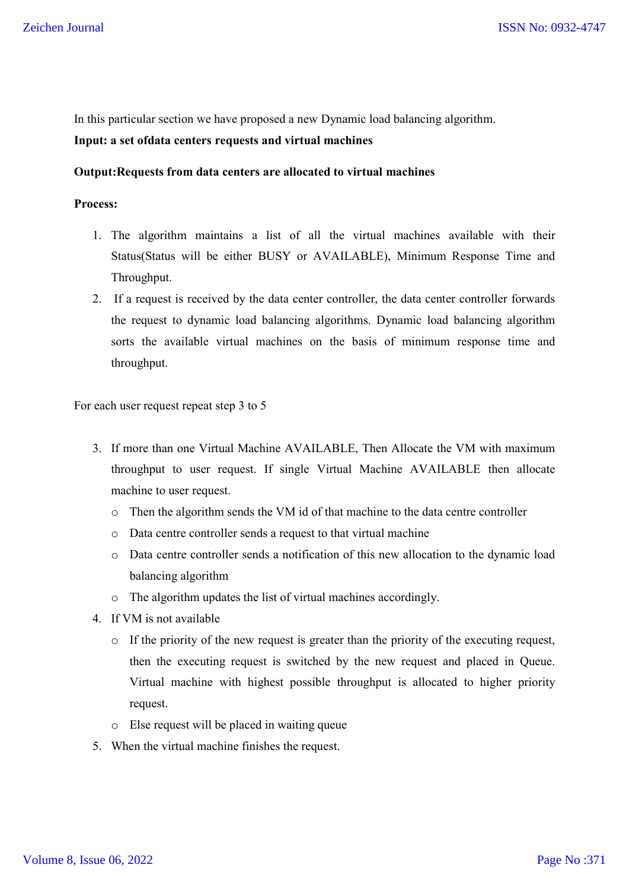In this particular section we have proposed a new Dynamic load balancing algorithm.

# **Input: a set ofdata centers requests and virtual machines**

## **Output:Requests from data centers are allocated to virtual machines**

#### **Process:**

- 1. The algorithm maintains a list of all the virtual machines available with their Status(Status will be either BUSY or AVAILABLE), Minimum Response Time and Throughput.
- 2. If a request is received by the data center controller, the data center controller forwards the request to dynamic load balancing algorithms. Dynamic load balancing algorithm sorts the available virtual machines on the basis of minimum response time and throughput.

For each user request repeat step 3 to 5

- 3. If more than one Virtual Machine AVAILABLE, Then Allocate the VM with maximum throughput to user request. If single Virtual Machine AVAILABLE then allocate machine to user request.
	- o Then the algorithm sends the VM id of that machine to the data centre controller
	- o Data centre controller sends a request to that virtual machine
	- o Data centre controller sends a notification of this new allocation to the dynamic load balancing algorithm
	- o The algorithm updates the list of virtual machines accordingly.
- 4. If VM is not available
	- o If the priority of the new request is greater than the priority of the executing request, then the executing request is switched by the new request and placed in Queue. Virtual machine with highest possible throughput is allocated to higher priority request.
	- o Else request will be placed in waiting queue
- 5. When the virtual machine finishes the request.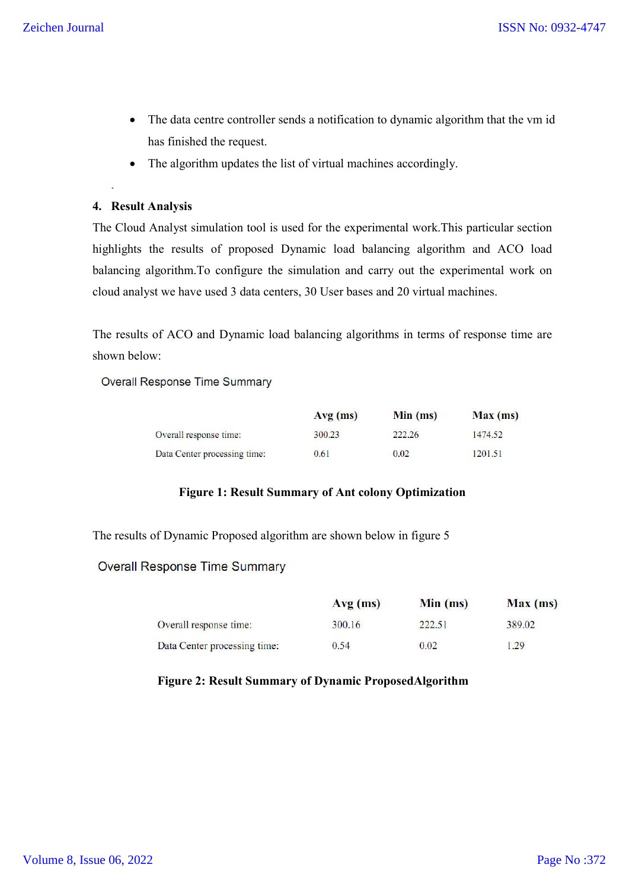- The data centre controller sends a notification to dynamic algorithm that the vm id has finished the request.
- The algorithm updates the list of virtual machines accordingly.

## **4. Result Analysis**

.

The Cloud Analyst simulation tool is used for the experimental work.This particular section highlights the results of proposed Dynamic load balancing algorithm and ACO load balancing algorithm.To configure the simulation and carry out the experimental work on cloud analyst we have used 3 data centers, 30 User bases and 20 virtual machines.

The results of ACO and Dynamic load balancing algorithms in terms of response time are shown below:

**Overall Response Time Summary** 

|                              | $Avg$ (ms) | Min (ms) | Max(ms) |
|------------------------------|------------|----------|---------|
| Overall response time:       | 300.23     | 222.26   | 1474.52 |
| Data Center processing time: | 0.61       | 0.02     | 1201.51 |

#### **Figure 1: Result Summary of Ant colony Optimization**

The results of Dynamic Proposed algorithm are shown below in figure 5

## **Overall Response Time Summary**

|                              | $Avg$ (ms) | Min (ms) | Max(ms) |
|------------------------------|------------|----------|---------|
| Overall response time:       | 300.16     | 222.51   | 389.02  |
| Data Center processing time: | 0.54       | 0.02     | .29     |

## **Figure 2: Result Summary of Dynamic ProposedAlgorithm**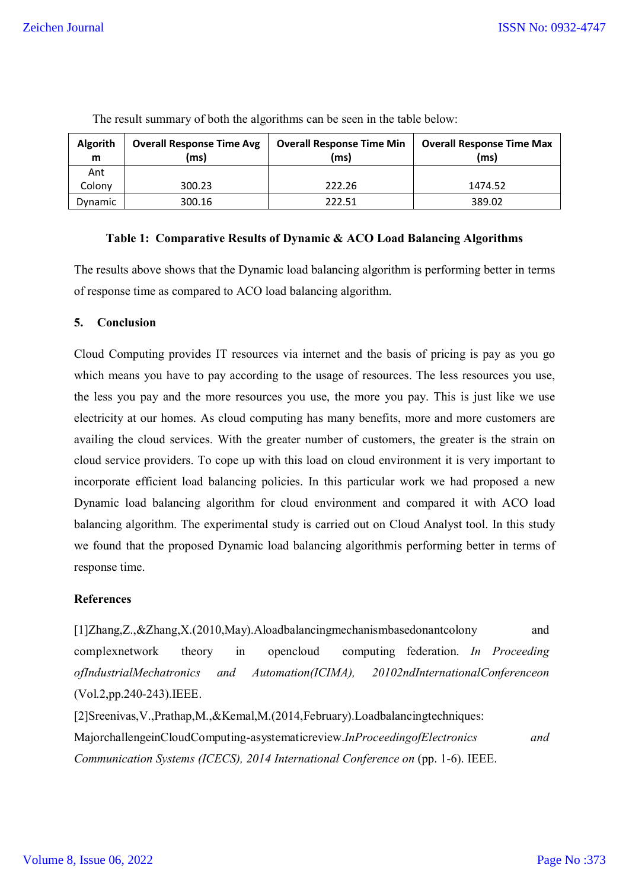| <b>Algorith</b><br>m | <b>Overall Response Time Avg</b><br>(ms) | <b>Overall Response Time Min</b><br>(ms) | <b>Overall Response Time Max</b><br>(ms |
|----------------------|------------------------------------------|------------------------------------------|-----------------------------------------|
| Ant                  |                                          |                                          |                                         |
| Colony               | 300.23                                   | 222.26                                   | 1474.52                                 |
| Dynamic              | 300.16                                   | 222.51                                   | 389.02                                  |

The result summary of both the algorithms can be seen in the table below:

#### **Table 1: Comparative Results of Dynamic & ACO Load Balancing Algorithms**

The results above shows that the Dynamic load balancing algorithm is performing better in terms of response time as compared to ACO load balancing algorithm.

## **5. Conclusion**

Cloud Computing provides IT resources via internet and the basis of pricing is pay as you go which means you have to pay according to the usage of resources. The less resources you use, the less you pay and the more resources you use, the more you pay. This is just like we use electricity at our homes. As cloud computing has many benefits, more and more customers are availing the cloud services. With the greater number of customers, the greater is the strain on cloud service providers. To cope up with this load on cloud environment it is very important to incorporate efficient load balancing policies. In this particular work we had proposed a new Dynamic load balancing algorithm for cloud environment and compared it with ACO load balancing algorithm. The experimental study is carried out on Cloud Analyst tool. In this study we found that the proposed Dynamic load balancing algorithmis performing better in terms of response time.

## **References**

[1]Zhang,Z.,&Zhang,X.(2010,May).Aloadbalancingmechanismbasedonantcolony and complexnetwork theory in opencloud computing federation. *In Proceeding ofIndustrialMechatronics and Automation(ICIMA), 20102ndInternationalConferenceon*  (Vol.2,pp.240-243).IEEE. [2]Sreenivas,V.,Prathap,M.,&Kemal,M.(2014,February).Loadbalancingtechniques: MajorchallengeinCloudComputing-asystematicreview.*InProceedingofElectronics and*

*Communication Systems (ICECS), 2014 International Conference on (pp. 1-6). IEEE.*